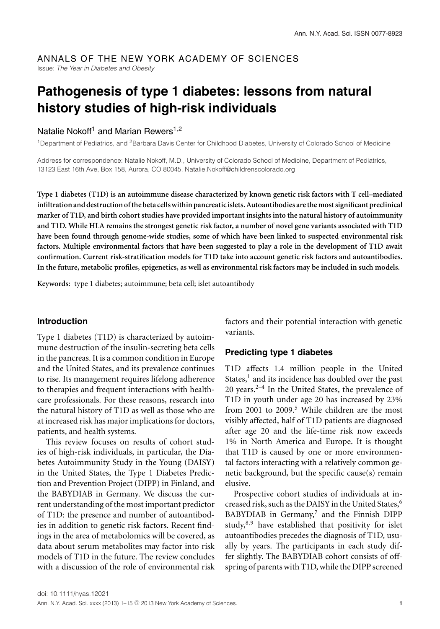#### ANNALS OF THE NEW YORK ACADEMY OF SCIENCES Issue: *The Year in Diabetes and Obesity*

# **Pathogenesis of type 1 diabetes: lessons from natural history studies of high-risk individuals**

### Natalie Nokoff<sup>1</sup> and Marian Rewers<sup>1,2</sup>

1Department of Pediatrics, and 2Barbara Davis Center for Childhood Diabetes, University of Colorado School of Medicine

Address for correspondence: Natalie Nokoff, M.D., University of Colorado School of Medicine, Department of Pediatrics, 13123 East 16th Ave, Box 158, Aurora, CO 80045. Natalie.Nokoff@childrenscolorado.org

**Type 1 diabetes (T1D) is an autoimmune disease characterized by known genetic risk factors with T cell–mediated infiltration and destruction of the beta cellswithin pancreaticislets. Autoantibodies are themost significant preclinical marker of T1D, and birth cohort studies have provided important insights into the natural history of autoimmunity and T1D. While HLA remains the strongest genetic risk factor, a number of novel gene variants associated with T1D have been found through genome-wide studies, some of which have been linked to suspected environmental risk factors. Multiple environmental factors that have been suggested to play a role in the development of T1D await confirmation. Current risk-stratification models for T1D take into account genetic risk factors and autoantibodies. In the future, metabolic profiles, epigenetics, as well as environmental risk factors may be included in such models.**

**Keywords:** type 1 diabetes; autoimmune; beta cell; islet autoantibody

#### **Introduction**

Type 1 diabetes (T1D) is characterized by autoimmune destruction of the insulin-secreting beta cells in the pancreas. It is a common condition in Europe and the United States, and its prevalence continues to rise. Its management requires lifelong adherence to therapies and frequent interactions with healthcare professionals. For these reasons, research into the natural history of T1D as well as those who are at increased risk has major implications for doctors, patients, and health systems.

This review focuses on results of cohort studies of high-risk individuals, in particular, the Diabetes Autoimmunity Study in the Young (DAISY) in the United States, the Type 1 Diabetes Prediction and Prevention Project (DIPP) in Finland, and the BABYDIAB in Germany. We discuss the current understanding of the most important predictor of T1D: the presence and number of autoantibodies in addition to genetic risk factors. Recent findings in the area of metabolomics will be covered, as data about serum metabolites may factor into risk models of T1D in the future. The review concludes with a discussion of the role of environmental risk factors and their potential interaction with genetic variants.

## **Predicting type 1 diabetes**

T1D affects 1.4 million people in the United States, $<sup>1</sup>$  and its incidence has doubled over the past</sup> 20 years. $2^{-4}$  In the United States, the prevalence of T1D in youth under age 20 has increased by 23% from 2001 to 2009. $5$  While children are the most visibly affected, half of T1D patients are diagnosed after age 20 and the life-time risk now exceeds 1% in North America and Europe. It is thought that T1D is caused by one or more environmental factors interacting with a relatively common genetic background, but the specific cause(s) remain elusive.

Prospective cohort studies of individuals at increased risk, such as the DAISY in the United States,<sup>6</sup>  $B$ ABYDIAB in Germany,<sup>7</sup> and the Finnish DIPP study, $8,9$  have established that positivity for islet autoantibodies precedes the diagnosis of T1D, usually by years. The participants in each study differ slightly. The BABYDIAB cohort consists of offspring of parents with T1D, while the DIPP screened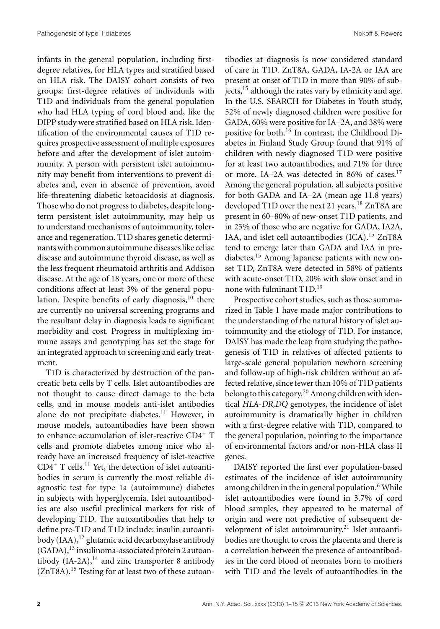infants in the general population, including firstdegree relatives, for HLA types and stratified based on HLA risk. The DAISY cohort consists of two groups: first-degree relatives of individuals with T1D and individuals from the general population who had HLA typing of cord blood and, like the DIPP study were stratified based on HLA risk. Identification of the environmental causes of T1D requires prospective assessment of multiple exposures before and after the development of islet autoimmunity. A person with persistent islet autoimmunity may benefit from interventions to prevent diabetes and, even in absence of prevention, avoid life-threatening diabetic ketoacidosis at diagnosis. Those who do not progress to diabetes, despite longterm persistent islet autoimmunity, may help us to understand mechanisms of autoimmunity, tolerance and regeneration. T1D shares genetic determinants with common autoimmune diseases like celiac disease and autoimmune thyroid disease, as well as the less frequent rheumatoid arthritis and Addison disease. At the age of 18 years, one or more of these conditions affect at least 3% of the general population. Despite benefits of early diagnosis, $10$  there are currently no universal screening programs and the resultant delay in diagnosis leads to significant morbidity and cost. Progress in multiplexing immune assays and genotyping has set the stage for an integrated approach to screening and early treatment.

T1D is characterized by destruction of the pancreatic beta cells by T cells. Islet autoantibodies are not thought to cause direct damage to the beta cells, and in mouse models anti-islet antibodies alone do not precipitate diabetes.<sup>11</sup> However, in mouse models, autoantibodies have been shown to enhance accumulation of islet-reactive CD4<sup>+</sup> T cells and promote diabetes among mice who already have an increased frequency of islet-reactive  $CD4^+$  T cells.<sup>11</sup> Yet, the detection of islet autoantibodies in serum is currently the most reliable diagnostic test for type 1a (autoimmune) diabetes in subjects with hyperglycemia. Islet autoantibodies are also useful preclinical markers for risk of developing T1D. The autoantibodies that help to define pre-T1D and T1D include: insulin autoantibody  $(IAA)$ ,<sup>12</sup> glutamic acid decarboxylase antibody  $(GADA)$ ,<sup>13</sup> insulinoma-associated protein 2 autoantibody  $(IA-2A)$ ,<sup>14</sup> and zinc transporter 8 antibody  $(ZnT8A).$ <sup>15</sup> Testing for at least two of these autoantibodies at diagnosis is now considered standard of care in T1D. ZnT8A, GADA, IA-2A or IAA are present at onset of T1D in more than 90% of subjects,<sup>15</sup> although the rates vary by ethnicity and age. In the U.S. SEARCH for Diabetes in Youth study, 52% of newly diagnosed children were positive for GADA, 60% were positive for IA–2A, and 38% were positive for both.16 In contrast, the Childhood Diabetes in Finland Study Group found that 91% of children with newly diagnosed T1D were positive for at least two autoantibodies, and 71% for three or more. IA-2A was detected in 86% of cases.<sup>17</sup> Among the general population, all subjects positive for both GADA and IA–2A (mean age 11.8 years) developed T1D over the next 21 years.<sup>18</sup> ZnT8A are present in 60–80% of new-onset T1D patients, and in 25% of those who are negative for GADA, IA2A, IAA, and islet cell autoantibodies (ICA).<sup>15</sup> ZnT8A tend to emerge later than GADA and IAA in prediabetes.<sup>15</sup> Among Japanese patients with new onset T1D, ZnT8A were detected in 58% of patients with acute-onset T1D, 20% with slow onset and in none with fulminant T1D.<sup>19</sup>

Prospective cohort studies, such as those summarized in Table 1 have made major contributions to the understanding of the natural history of islet autoimmunity and the etiology of T1D. For instance, DAISY has made the leap from studying the pathogenesis of T1D in relatives of affected patients to large-scale general population newborn screening and follow-up of high-risk children without an affected relative, since fewer than 10% of T1D patients belong to this category.<sup>20</sup> Among children with identical *HLA-DR,DQ* genotypes, the incidence of islet autoimmunity is dramatically higher in children with a first-degree relative with T1D, compared to the general population, pointing to the importance of environmental factors and/or non-HLA class II genes.

DAISY reported the first ever population-based estimates of the incidence of islet autoimmunity among children in the in general population.<sup>6</sup> While islet autoantibodies were found in 3.7% of cord blood samples, they appeared to be maternal of origin and were not predictive of subsequent development of islet autoimmunity.<sup>21</sup> Islet autoantibodies are thought to cross the placenta and there is a correlation between the presence of autoantibodies in the cord blood of neonates born to mothers with T1D and the levels of autoantibodies in the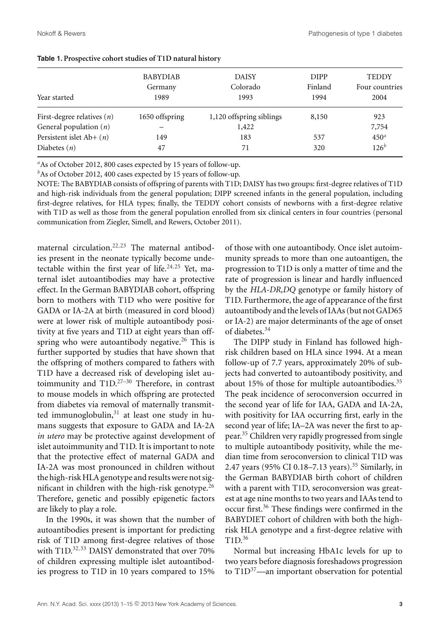| Year started                 | <b>BABYDIAB</b><br>Germany<br>1989 | <b>DAISY</b><br>Colorado<br>1993 | <b>DIPP</b><br>Finland<br>1994 | <b>TEDDY</b><br>Four countries<br>2004 |  |
|------------------------------|------------------------------------|----------------------------------|--------------------------------|----------------------------------------|--|
| First-degree relatives $(n)$ | 1650 offspring                     | 1,120 offspring siblings         | 8,150                          | 923                                    |  |
| General population $(n)$     |                                    | 1,422                            |                                | 7,754                                  |  |
| Persistent islet Ab+ $(n)$   | 149                                | 183                              | 537                            | 450 <sup>a</sup>                       |  |
| Diabetes $(n)$               | 47                                 | 71                               | 320                            | $126^{b}$                              |  |

| Table 1. Prospective cohort studies of T1D natural history |  |  |  |
|------------------------------------------------------------|--|--|--|
|------------------------------------------------------------|--|--|--|

*<sup>a</sup>*As of October 2012, 800 cases expected by 15 years of follow-up.

<sup>*b*</sup>As of October 2012, 400 cases expected by 15 years of follow-up.

NOTE: The BABYDIAB consists of offspring of parents with T1D; DAISY has two groups: first-degree relatives of T1D and high-risk individuals from the general population; DIPP screened infants in the general population, including first-degree relatives, for HLA types; finally, the TEDDY cohort consists of newborns with a first-degree relative with T1D as well as those from the general population enrolled from six clinical centers in four countries (personal communication from Ziegler, Simell, and Rewers, October 2011).

maternal circulation.<sup>22,23</sup> The maternal antibodies present in the neonate typically become undetectable within the first year of life. $24,25$  Yet, maternal islet autoantibodies may have a protective effect. In the German BABYDIAB cohort, offspring born to mothers with T1D who were positive for GADA or IA-2A at birth (measured in cord blood) were at lower risk of multiple autoantibody positivity at five years and T1D at eight years than offspring who were autoantibody negative.<sup>26</sup> This is further supported by studies that have shown that the offspring of mothers compared to fathers with T1D have a decreased risk of developing islet autoimmunity and T1D.<sup>27-30</sup> Therefore, in contrast to mouse models in which offspring are protected from diabetes via removal of maternally transmitted immunoglobulin, $31$  at least one study in humans suggests that exposure to GADA and IA-2A *in utero* may be protective against development of islet autoimmunity and T1D. It is important to note that the protective effect of maternal GADA and IA-2A was most pronounced in children without the high-risk HLA genotype and results were not significant in children with the high-risk genotype. $26$ Therefore, genetic and possibly epigenetic factors are likely to play a role.

In the 1990s, it was shown that the number of autoantibodies present is important for predicting risk of T1D among first-degree relatives of those with T1D.<sup>32,33</sup> DAISY demonstrated that over 70% of children expressing multiple islet autoantibodies progress to T1D in 10 years compared to 15% of those with one autoantibody. Once islet autoimmunity spreads to more than one autoantigen, the progression to T1D is only a matter of time and the rate of progression is linear and hardly influenced by the *HLA-DR,DQ* genotype or family history of T1D. Furthermore, the age of appearance of the first autoantibody and the levels of IAAs (but not GAD65 or IA-2) are major determinants of the age of onset of diabetes.<sup>34</sup>

The DIPP study in Finland has followed highrisk children based on HLA since 1994. At a mean follow-up of 7.7 years, approximately 20% of subjects had converted to autoantibody positivity, and about 15% of those for multiple autoantibodies.<sup>35</sup> The peak incidence of seroconversion occurred in the second year of life for IAA, GADA and IA-2A, with positivity for IAA occurring first, early in the second year of life; IA–2A was never the first to appear.<sup>35</sup> Children very rapidly progressed from single to multiple autoantibody positivity, while the median time from seroconversion to clinical T1D was 2.47 years (95% CI 0.18–7.13 years).<sup>35</sup> Similarly, in the German BABYDIAB birth cohort of children with a parent with T1D, seroconversion was greatest at age nine months to two years and IAAs tend to occur first.36 These findings were confirmed in the BABYDIET cohort of children with both the highrisk HLA genotype and a first-degree relative with T1D.<sup>36</sup>

Normal but increasing HbA1c levels for up to two years before diagnosis foreshadows progression to  $T1D^{37}$ —an important observation for potential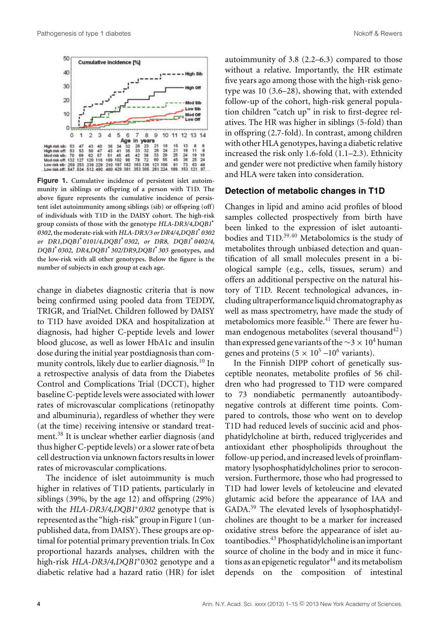

**Figure 1. Cumulative incidence of persistent islet autoimmunity in siblings or offspring of a person with T1D. The above figure represents the cumulative incidence of persistent islet autoimmunity among siblings (sib) or offspring (off) of individuals with T1D in the DAISY cohort. The high-risk group consists of those with the genotype** *HLA-DR3/4,DQB1***<sup>∗</sup>** *0302***, the moderate-risk with** *HLA-DR3/3 or DR4/4,DQB1***<sup>∗</sup>** *0302 or DR1,DQB1***<sup>∗</sup>** *0101/4,DQB1***<sup>∗</sup>** *0302, or DR8, DQB1***<sup>∗</sup>** *0402/4, DQB1***<sup>∗</sup>** *0302, DR4,DQB1***<sup>∗</sup>** *302/DR9,DQB1***<sup>∗</sup>** *303* **genotypes, and the low-risk with all other genotypes. Below the figure is the number of subjects in each group at each age.**

change in diabetes diagnostic criteria that is now being confirmed using pooled data from TEDDY, TRIGR, and TrialNet. Children followed by DAISY to T1D have avoided DKA and hospitalization at diagnosis, had higher C-peptide levels and lower blood glucose, as well as lower HbA1c and insulin dose during the initial year postdiagnosis than community controls, likely due to earlier diagnosis.<sup>10</sup> In a retrospective analysis of data from the Diabetes Control and Complications Trial (DCCT), higher baseline C-peptide levels were associated with lower rates of microvascular complications (retinopathy and albuminuria), regardless of whether they were (at the time) receiving intensive or standard treatment.<sup>38</sup> It is unclear whether earlier diagnosis (and thus higher C-peptide levels) or a slower rate of beta cell destruction via unknown factors results in lower rates of microvascular complications.

The incidence of islet autoimmunity is much higher in relatives of T1D patients, particularly in siblings (39%, by the age 12) and offspring (29%) with the *HLA-DR3/4,DQB1*∗*0302* genotype that is represented as the "high-risk" group in Figure 1 (unpublished data, from DAISY). These groups are optimal for potential primary prevention trials. In Cox proportional hazards analyses, children with the high-risk *HLA-DR3/4,DQB1*∗0302 genotype and a diabetic relative had a hazard ratio (HR) for islet autoimmunity of 3.8 (2.2–6.3) compared to those without a relative. Importantly, the HR estimate five years ago among those with the high-risk genotype was 10 (3.6–28), showing that, with extended follow-up of the cohort, high-risk general population children "catch up" in risk to first-degree relatives. The HR was higher in siblings (5-fold) than in offspring (2.7-fold). In contrast, among children with other HLA genotypes, having a diabetic relative increased the risk only 1.6-fold (1.1–2.3). Ethnicity and gender were not predictive when family history and HLA were taken into consideration.

#### **Detection of metabolic changes in T1D**

Changes in lipid and amino acid profiles of blood samples collected prospectively from birth have been linked to the expression of islet autoantibodies and T1D.<sup>39,40</sup> Metabolomics is the study of metabolites through unbiased detection and quantification of all small molecules present in a biological sample (e.g., cells, tissues, serum) and offers an additional perspective on the natural history of T1D. Recent technological advances, including ultraperformance liquid chromatography as well as mass spectrometry, have made the study of metabolomics more feasible.<sup>41</sup> There are fewer human endogenous metabolites (several thousand<sup>42</sup>) than expressed gene variants of the  $\sim$ 3 × 10<sup>4</sup> human genes and proteins  $(5 \times 10^5 - 10^6 \text{ variants}).$ 

In the Finnish DIPP cohort of genetically susceptible neonates, metabolite profiles of 56 children who had progressed to T1D were compared to 73 nondiabetic permanently autoantibodynegative controls at different time points. Compared to controls, those who went on to develop T1D had reduced levels of succinic acid and phosphatidylcholine at birth, reduced triglycerides and antioxidant ether phospholipids throughout the follow-up period, and increased levels of proinflammatory lysophosphatidylcholines prior to seroconversion. Furthermore, those who had progressed to T1D had lower levels of ketoleucine and elevated glutamic acid before the appearance of IAA and GADA.<sup>39</sup> The elevated levels of lysophosphatidylcholines are thought to be a marker for increased oxidative stress before the appearance of islet autoantibodies.<sup>43</sup> Phosphatidylcholine is an important source of choline in the body and in mice it functions as an epigenetic regulator $44$  and its metabolism depends on the composition of intestinal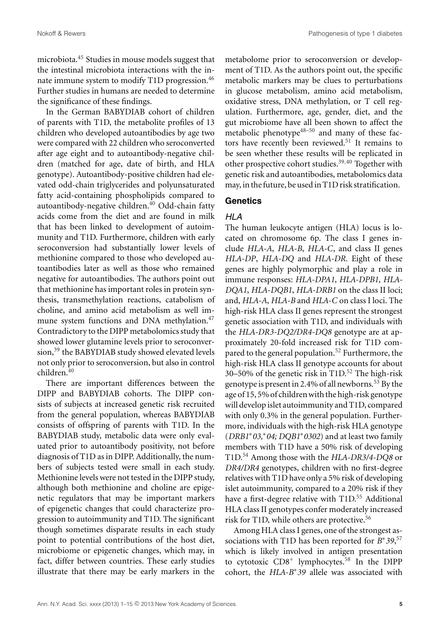Nokoff & Rewers Pathogenesis of type 1 diabetes

microbiota.45 Studies in mouse models suggest that the intestinal microbiota interactions with the innate immune system to modify T1D progression.<sup>46</sup> Further studies in humans are needed to determine the significance of these findings.

In the German BABYDIAB cohort of children of parents with T1D, the metabolite profiles of 13 children who developed autoantibodies by age two were compared with 22 children who seroconverted after age eight and to autoantibody-negative children (matched for age, date of birth, and HLA genotype). Autoantibody-positive children had elevated odd-chain triglycerides and polyunsaturated fatty acid-containing phospholipids compared to autoantibody-negative children.<sup>40</sup> Odd-chain fatty acids come from the diet and are found in milk that has been linked to development of autoimmunity and T1D. Furthermore, children with early seroconversion had substantially lower levels of methionine compared to those who developed autoantibodies later as well as those who remained negative for autoantibodies. The authors point out that methionine has important roles in protein synthesis, transmethylation reactions, catabolism of choline, and amino acid metabolism as well immune system functions and DNA methylation.<sup>47</sup> Contradictory to the DIPP metabolomics study that showed lower glutamine levels prior to seroconversion,<sup>39</sup> the BABYDIAB study showed elevated levels not only prior to seroconversion, but also in control children.<sup>40</sup>

There are important differences between the DIPP and BABYDIAB cohorts. The DIPP consists of subjects at increased genetic risk recruited from the general population, whereas BABYDIAB consists of offspring of parents with T1D. In the BABYDIAB study, metabolic data were only evaluated prior to autoantibody positivity, not before diagnosis of T1D as in DIPP. Additionally, the numbers of subjects tested were small in each study. Methionine levels were not tested in the DIPP study, although both methionine and choline are epigenetic regulators that may be important markers of epigenetic changes that could characterize progression to autoimmunity and T1D. The significant though sometimes disparate results in each study point to potential contributions of the host diet, microbiome or epigenetic changes, which may, in fact, differ between countries. These early studies illustrate that there may be early markers in the metabolome prior to seroconversion or development of T1D. As the authors point out, the specific metabolic markers may be clues to perturbations in glucose metabolism, amino acid metabolism, oxidative stress, DNA methylation, or T cell regulation. Furthermore, age, gender, diet, and the gut microbiome have all been shown to affect the metabolic phenotype $48-50$  and many of these factors have recently been reviewed.<sup>51</sup> It remains to be seen whether these results will be replicated in other prospective cohort studies.<sup>39,40</sup> Together with genetic risk and autoantibodies, metabolomics data may, in the future, be used in T1D risk stratification.

#### **Genetics**

## HLA

The human leukocyte antigen (HLA) locus is located on chromosome 6p. The class I genes include *HLA-A*, *HLA-B*, *HLA-C*, and class II genes *HLA-DP*, *HLA-DQ* and *HLA-DR*. Eight of these genes are highly polymorphic and play a role in immune responses: *HLA-DPA1*, *HLA-DPB1*, *HLA-DQA1*, *HLA-DQB1*, *HLA-DRB1* on the class II loci; and, *HLA-A*, *HLA-B* and *HLA-C* on class I loci. The high-risk HLA class II genes represent the strongest genetic association with T1D, and individuals with the *HLA-DR3-DQ2/DR4-DQ8* genotype are at approximately 20-fold increased risk for T1D compared to the general population.<sup>52</sup> Furthermore, the high-risk HLA class II genotype accounts for about 30–50% of the genetic risk in T1D.<sup>52</sup> The high-risk genotype is present in 2.4% of all newborns.<sup>53</sup> By the age of 15, 5% of children with the high-risk genotype will develop islet autoimmunity and T1D, compared with only 0.3% in the general population. Furthermore, individuals with the high-risk HLA genotype (*DRB1*∗*03,*∗*04; DQB1*∗*0302*) and at least two family members with T1D have a 50% risk of developing T1D.<sup>54</sup> Among those with the *HLA-DR3/4-DQ8* or *DR4/DR4* genotypes, children with no first-degree relatives with T1D have only a 5% risk of developing islet autoimmunity, compared to a 20% risk if they have a first-degree relative with T1D.<sup>55</sup> Additional HLA class II genotypes confer moderately increased risk for T1D, while others are protective.<sup>56</sup>

Among HLA class I genes, one of the strongest associations with T1D has been reported for *B*∗*39*, 57 which is likely involved in antigen presentation to cytotoxic CD8<sup>+</sup> lymphocytes.<sup>58</sup> In the DIPP cohort, the *HLA-B*∗*39* allele was associated with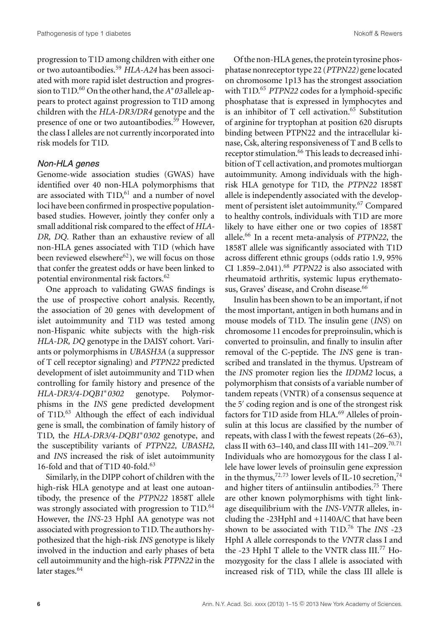progression to T1D among children with either one or two autoantibodies.<sup>59</sup> *HLA-A24* has been associated with more rapid islet destruction and progression to T1D.<sup>60</sup> On the other hand, the*A*∗*03* allele appears to protect against progression to T1D among children with the *HLA-DR3/DR4* genotype and the presence of one or two autoantibodies.<sup>59</sup> However, the class I alleles are not currently incorporated into risk models for T1D.

#### Non-HLA genes

Genome-wide association studies (GWAS) have identified over 40 non-HLA polymorphisms that are associated with T1D,<sup>61</sup> and a number of novel loci have been confirmed in prospective populationbased studies. However, jointly they confer only a small additional risk compared to the effect of *HLA-DR, DQ*. Rather than an exhaustive review of all non-HLA genes associated with T1D (which have been reviewed elsewhere<sup>62</sup>), we will focus on those that confer the greatest odds or have been linked to potential environmental risk factors.62

One approach to validating GWAS findings is the use of prospective cohort analysis. Recently, the association of 20 genes with development of islet autoimmunity and T1D was tested among non-Hispanic white subjects with the high-risk *HLA-DR, DQ* genotype in the DAISY cohort. Variants or polymorphisms in *UBASH3A* (a suppressor of T cell receptor signaling) and *PTPN22* predicted development of islet autoimmunity and T1D when controlling for family history and presence of the *HLA-DR3/4-DQB1*∗*0302* genotype. Polymorphisms in the *INS* gene predicted development of T1D.<sup>63</sup> Although the effect of each individual gene is small, the combination of family history of T1D, the *HLA-DR3/4-DQB1*∗*0302* genotype, and the susceptibility variants of *PTPN22, UBASH2,* and *INS* increased the risk of islet autoimmunity 16-fold and that of T1D 40-fold.<sup>63</sup>

Similarly, in the DIPP cohort of children with the high-risk HLA genotype and at least one autoantibody, the presence of the *PTPN22* 1858T allele was strongly associated with progression to  $T1D$ .<sup>64</sup> However, the *INS*-23 HphI AA genotype was not associated with progression to T1D. The authors hypothesized that the high-risk *INS* genotype is likely involved in the induction and early phases of beta cell autoimmunity and the high-risk *PTPN22* in the later stages.<sup>64</sup>

Of the non-HLA genes, the protein tyrosine phosphatase nonreceptor type 22 (*PTPN22)* gene located on chromosome 1p13 has the strongest association with T1D.<sup>65</sup> *PTPN22* codes for a lymphoid-specific phosphatase that is expressed in lymphocytes and is an inhibitor of T cell activation.<sup>65</sup> Substitution of arginine for tryptophan at position 620 disrupts binding between PTPN22 and the intracellular kinase, Csk, altering responsiveness of T and B cells to receptor stimulation.<sup>66</sup> This leads to decreased inhibition of T cell activation, and promotes multiorgan autoimmunity. Among individuals with the highrisk HLA genotype for T1D, the *PTPN22* 1858T allele is independently associated with the development of persistent islet autoimmunity.<sup>67</sup> Compared to healthy controls, individuals with T1D are more likely to have either one or two copies of 1858T allele.<sup>66</sup> In a recent meta-analysis of *PTPN22*, the 1858T allele was significantly associated with T1D across different ethnic groups (odds ratio 1.9, 95% CI  $1.859-2.041$ .<sup>68</sup> *PTPN22* is also associated with rheumatoid arthritis, systemic lupus erythematosus, Graves' disease, and Crohn disease.<sup>66</sup>

Insulin has been shown to be an important, if not the most important, antigen in both humans and in mouse models of T1D. The insulin gene (*INS*) on chromosome 11 encodes for preproinsulin, which is converted to proinsulin, and finally to insulin after removal of the C-peptide. The *INS* gene is transcribed and translated in the thymus. Upstream of the *INS* promoter region lies the *IDDM2* locus, a polymorphism that consists of a variable number of tandem repeats (VNTR) of a consensus sequence at the  $5'$  coding region and is one of the strongest risk factors for T1D aside from HLA.<sup>69</sup> Alleles of proinsulin at this locus are classified by the number of repeats, with class I with the fewest repeats (26–63), class II with 63-140, and class III with  $141-209$ .<sup>70,71</sup> Individuals who are homozygous for the class I allele have lower levels of proinsulin gene expression in the thymus,<sup>72,73</sup> lower levels of IL-10 secretion,<sup>74</sup> and higher titers of antiinsulin antibodies.75 There are other known polymorphisms with tight linkage disequilibrium with the *INS-VNTR* alleles, including the -23HphI and +1140A/C that have been shown to be associated with T1D.76 The *INS* -23 HphI A allele corresponds to the *VNTR* class I and the -23 HphI T allele to the VNTR class III.<sup>77</sup> Homozygosity for the class I allele is associated with increased risk of T1D, while the class III allele is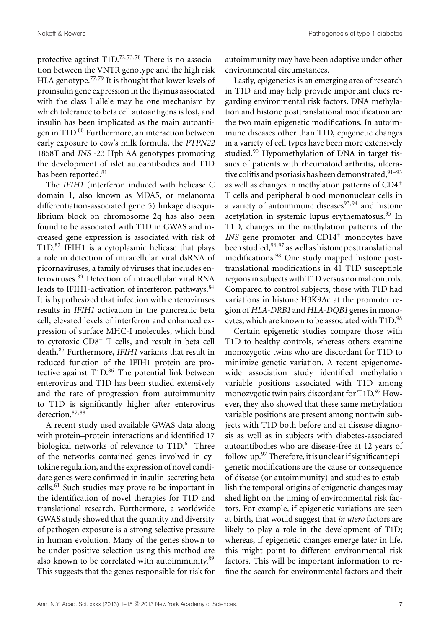protective against T1D.72,73,<sup>78</sup> There is no association between the VNTR genotype and the high risk HLA genotype.<sup>77,79</sup> It is thought that lower levels of proinsulin gene expression in the thymus associated with the class I allele may be one mechanism by which tolerance to beta cell autoantigens is lost, and insulin has been implicated as the main autoantigen in T1D.<sup>80</sup> Furthermore, an interaction between early exposure to cow's milk formula, the *PTPN22* 1858T and *INS* -23 Hph AA genotypes promoting the development of islet autoantibodies and T1D has been reported.<sup>81</sup>

The *IFIH1* (interferon induced with helicase C domain 1, also known as MDA5, or melanoma differentiation-associated gene 5) linkage disequilibrium block on chromosome 2q has also been found to be associated with T1D in GWAS and increased gene expression is associated with risk of T1D.<sup>82</sup> IFIH1 is a cytoplasmic helicase that plays a role in detection of intracellular viral dsRNA of picornaviruses, a family of viruses that includes enteroviruses.<sup>83</sup> Detection of intracellular viral RNA leads to IFIH1-activation of interferon pathways.<sup>84</sup> It is hypothesized that infection with enteroviruses results in *IFIH1* activation in the pancreatic beta cell, elevated levels of interferon and enhanced expression of surface MHC-I molecules, which bind to cytotoxic CD8+ T cells, and result in beta cell death.<sup>85</sup> Furthermore, *IFIH1* variants that result in reduced function of the IFIH1 protein are protective against  $T1D<sup>86</sup>$  The potential link between enterovirus and T1D has been studied extensively and the rate of progression from autoimmunity to T1D is significantly higher after enterovirus detection.<sup>87</sup>,<sup>88</sup>

A recent study used available GWAS data along with protein–protein interactions and identified 17 biological networks of relevance to T1D.<sup>61</sup> Three of the networks contained genes involved in cytokine regulation, and the expression of novel candidate genes were confirmed in insulin-secreting beta cells.<sup>61</sup> Such studies may prove to be important in the identification of novel therapies for T1D and translational research. Furthermore, a worldwide GWAS study showed that the quantity and diversity of pathogen exposure is a strong selective pressure in human evolution. Many of the genes shown to be under positive selection using this method are also known to be correlated with autoimmunity.<sup>89</sup> This suggests that the genes responsible for risk for autoimmunity may have been adaptive under other environmental circumstances.

Lastly, epigenetics is an emerging area of research in T1D and may help provide important clues regarding environmental risk factors. DNA methylation and histone posttranslational modification are the two main epigenetic modifications. In autoimmune diseases other than T1D, epigenetic changes in a variety of cell types have been more extensively studied.<sup>90</sup> Hypomethylation of DNA in target tissues of patients with rheumatoid arthritis, ulcerative colitis and psoriasis has been demonstrated,  $91-93$ as well as changes in methylation patterns of CD4<sup>+</sup> T cells and peripheral blood mononuclear cells in a variety of autoimmune diseases $93,94$  and histone acetylation in systemic lupus erythematosus.<sup>95</sup> In T1D, changes in the methylation patterns of the *INS* gene promoter and CD14<sup>+</sup> monocytes have been studied,<sup>96</sup>,<sup>97</sup> as well as histone posttranslational modifications.<sup>98</sup> One study mapped histone posttranslational modifications in 41 T1D susceptible regions in subjects with T1D versus normal controls. Compared to control subjects, those with T1D had variations in histone H3K9Ac at the promoter region of *HLA-DRB1* and *HLA-DQB1* genes in monocytes, which are known to be associated with T1D.<sup>98</sup>

Certain epigenetic studies compare those with T1D to healthy controls, whereas others examine monozygotic twins who are discordant for T1D to minimize genetic variation. A recent epigenomewide association study identified methylation variable positions associated with T1D among monozygotic twin pairs discordant for  $T1D^{97}$  However, they also showed that these same methylation variable positions are present among nontwin subjects with T1D both before and at disease diagnosis as well as in subjects with diabetes-associated autoantibodies who are disease-free at 12 years of follow-up. $97$  Therefore, it is unclear if significant epigenetic modifications are the cause or consequence of disease (or autoimmunity) and studies to establish the temporal origins of epigenetic changes may shed light on the timing of environmental risk factors. For example, if epigenetic variations are seen at birth, that would suggest that *in utero* factors are likely to play a role in the development of T1D; whereas, if epigenetic changes emerge later in life, this might point to different environmental risk factors. This will be important information to refine the search for environmental factors and their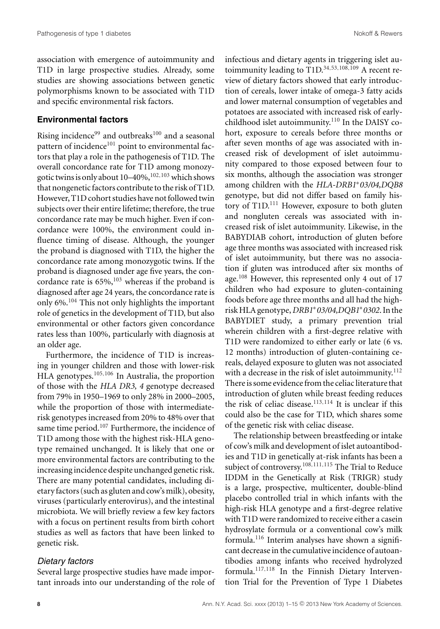association with emergence of autoimmunity and T1D in large prospective studies. Already, some studies are showing associations between genetic polymorphisms known to be associated with T1D and specific environmental risk factors.

#### **Environmental factors**

Rising incidence $99$  and outbreaks<sup>100</sup> and a seasonal pattern of incidence $101$  point to environmental factors that play a role in the pathogenesis of T1D. The overall concordance rate for T1D among monozygotic twins is only about  $10-40\%$ ,  $^{102,103}$  which shows that nongenetic factors contribute to the risk of T1D. However, T1D cohort studies have not followed twin subjects over their entire lifetime; therefore, the true concordance rate may be much higher. Even if concordance were 100%, the environment could influence timing of disease. Although, the younger the proband is diagnosed with T1D, the higher the concordance rate among monozygotic twins. If the proband is diagnosed under age five years, the concordance rate is  $65\%,^{103}$  whereas if the proband is diagnosed after age 24 years, the concordance rate is only 6%.<sup>104</sup> This not only highlights the important role of genetics in the development of T1D, but also environmental or other factors given concordance rates less than 100%, particularly with diagnosis at an older age.

Furthermore, the incidence of T1D is increasing in younger children and those with lower-risk HLA genotypes.105,<sup>106</sup> In Australia, the proportion of those with the *HLA DR3, 4* genotype decreased from 79% in 1950–1969 to only 28% in 2000–2005, while the proportion of those with intermediaterisk genotypes increased from 20% to 48% over that same time period.<sup>107</sup> Furthermore, the incidence of T1D among those with the highest risk-HLA genotype remained unchanged. It is likely that one or more environmental factors are contributing to the increasing incidence despite unchanged genetic risk. There are many potential candidates, including dietaryfactors (such as gluten and cow'smilk), obesity, viruses (particularly enterovirus), and the intestinal microbiota. We will briefly review a few key factors with a focus on pertinent results from birth cohort studies as well as factors that have been linked to genetic risk.

#### Dietary factors

Several large prospective studies have made important inroads into our understanding of the role of

infectious and dietary agents in triggering islet autoimmunity leading to  $\text{T1D.}^{34,53,108,109}$  A recent review of dietary factors showed that early introduction of cereals, lower intake of omega-3 fatty acids and lower maternal consumption of vegetables and potatoes are associated with increased risk of earlychildhood islet autoimmunity.<sup>110</sup> In the DAISY cohort, exposure to cereals before three months or after seven months of age was associated with increased risk of development of islet autoimmunity compared to those exposed between four to six months, although the association was stronger among children with the *HLA-DRB1*∗*03/04,DQB8* genotype, but did not differ based on family history of  $T1D$ <sup>111</sup> However, exposure to both gluten and nongluten cereals was associated with increased risk of islet autoimmunity. Likewise, in the BABYDIAB cohort, introduction of gluten before age three months was associated with increased risk of islet autoimmunity, but there was no association if gluten was introduced after six months of age.<sup>108</sup> However, this represented only 4 out of 17 children who had exposure to gluten-containing foods before age three months and all had the highrisk HLA genotype,*DRB1*∗*03/04,DQB1*∗*0302*. In the BABYDIET study, a primary prevention trial wherein children with a first-degree relative with T1D were randomized to either early or late (6 vs. 12 months) introduction of gluten-containing cereals, delayed exposure to gluten was not associated with a decrease in the risk of islet autoimmunity.<sup>112</sup> There is some evidence from the celiac literature that introduction of gluten while breast feeding reduces the risk of celiac disease.<sup>113,114</sup> It is unclear if this could also be the case for T1D, which shares some of the genetic risk with celiac disease.

The relationship between breastfeeding or intake of cow's milk and development of islet autoantibodies and T1D in genetically at-risk infants has been a subject of controversy.<sup>108,111,115</sup> The Trial to Reduce IDDM in the Genetically at Risk (TRIGR) study is a large, prospective, multicenter, double-blind placebo controlled trial in which infants with the high-risk HLA genotype and a first-degree relative with T1D were randomized to receive either a casein hydrosylate formula or a conventional cow's milk formula.116 Interim analyses have shown a significant decrease in the cumulative incidence of autoantibodies among infants who received hydrolyzed formula.117,<sup>118</sup> In the Finnish Dietary Intervention Trial for the Prevention of Type 1 Diabetes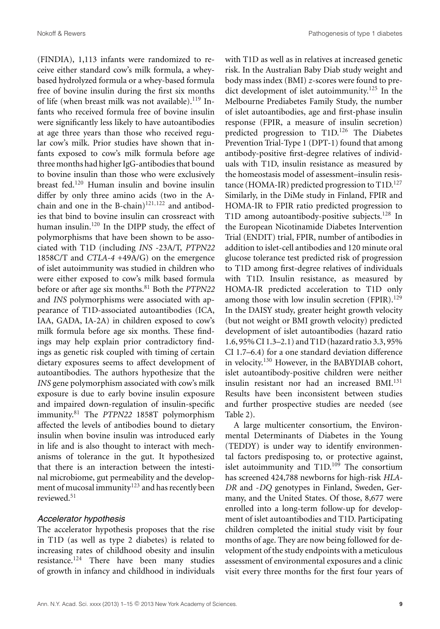(FINDIA), 1,113 infants were randomized to receive either standard cow's milk formula, a wheybased hydrolyzed formula or a whey-based formula free of bovine insulin during the first six months of life (when breast milk was not available).<sup>119</sup> Infants who received formula free of bovine insulin were significantly less likely to have autoantibodies at age three years than those who received regular cow's milk. Prior studies have shown that infants exposed to cow's milk formula before age three months had higher IgG-antibodies that bound to bovine insulin than those who were exclusively breast fed.<sup>120</sup> Human insulin and bovine insulin differ by only three amino acids (two in the Achain and one in the B-chain) $121,122$  and antibodies that bind to bovine insulin can crossreact with human insulin.<sup>120</sup> In the DIPP study, the effect of polymorphisms that have been shown to be associated with T1D (including *INS* -23A/T, *PTPN22* 1858C/T and *CTLA-4* +49A/G) on the emergence of islet autoimmunity was studied in children who were either exposed to cow's milk based formula before or after age six months.<sup>81</sup> Both the *PTPN22* and *INS* polymorphisms were associated with appearance of T1D-associated autoantibodies (ICA, IAA, GADA, IA-2A) in children exposed to cow's milk formula before age six months. These findings may help explain prior contradictory findings as genetic risk coupled with timing of certain dietary exposures seems to affect development of autoantibodies. The authors hypothesize that the *INS* gene polymorphism associated with cow's milk exposure is due to early bovine insulin exposure and impaired down-regulation of insulin-specific immunity.<sup>81</sup> The *PTPN22* 1858T polymorphism affected the levels of antibodies bound to dietary insulin when bovine insulin was introduced early in life and is also thought to interact with mechanisms of tolerance in the gut. It hypothesized that there is an interaction between the intestinal microbiome, gut permeability and the development of mucosal immunity<sup>123</sup> and has recently been reviewed.<sup>51</sup>

#### Accelerator hypothesis

The accelerator hypothesis proposes that the rise in T1D (as well as type 2 diabetes) is related to increasing rates of childhood obesity and insulin resistance.<sup>124</sup> There have been many studies of growth in infancy and childhood in individuals with T1D as well as in relatives at increased genetic risk. In the Australian Baby Diab study weight and body mass index (BMI) *z*-scores were found to predict development of islet autoimmunity.<sup>125</sup> In the Melbourne Prediabetes Family Study, the number of islet autoantibodies, age and first-phase insulin response (FPIR, a measure of insulin secretion) predicted progression to T1D.<sup>126</sup> The Diabetes Prevention Trial-Type 1 (DPT-1) found that among antibody-positive first-degree relatives of individuals with T1D, insulin resistance as measured by the homeostasis model of assessment–insulin resistance (HOMA-IR) predicted progression to  $T1D$ <sup>127</sup> Similarly, in the DiMe study in Finland, FPIR and HOMA-IR to FPIR ratio predicted progression to T1D among autoantibody-positive subjects.<sup>128</sup> In the European Nicotinamide Diabetes Intervention Trial (ENDIT) trial, FPIR, number of antibodies in addition to islet-cell antibodies and 120 minute oral glucose tolerance test predicted risk of progression to T1D among first-degree relatives of individuals with T1D. Insulin resistance, as measured by HOMA-IR predicted acceleration to T1D only among those with low insulin secretion  $(FPIR).<sup>129</sup>$ In the DAISY study, greater height growth velocity (but not weight or BMI growth velocity) predicted development of islet autoantibodies (hazard ratio 1.6, 95% CI 1.3–2.1) and T1D (hazard ratio 3.3, 95% CI 1.7–6.4) for a one standard deviation difference in velocity.<sup>130</sup> However, in the BABYDIAB cohort, islet autoantibody-positive children were neither insulin resistant nor had an increased BMI.<sup>131</sup> Results have been inconsistent between studies and further prospective studies are needed (see Table 2).

A large multicenter consortium, the Environmental Determinants of Diabetes in the Young (TEDDY) is under way to identify environmental factors predisposing to, or protective against, islet autoimmunity and  $T1D<sup>109</sup>$  The consortium has screened 424,788 newborns for high-risk *HLA-DR* and -*DQ* genotypes in Finland, Sweden, Germany, and the United States. Of those, 8,677 were enrolled into a long-term follow-up for development of islet autoantibodies and T1D. Participating children completed the initial study visit by four months of age. They are now being followed for development of the study endpoints with a meticulous assessment of environmental exposures and a clinic visit every three months for the first four years of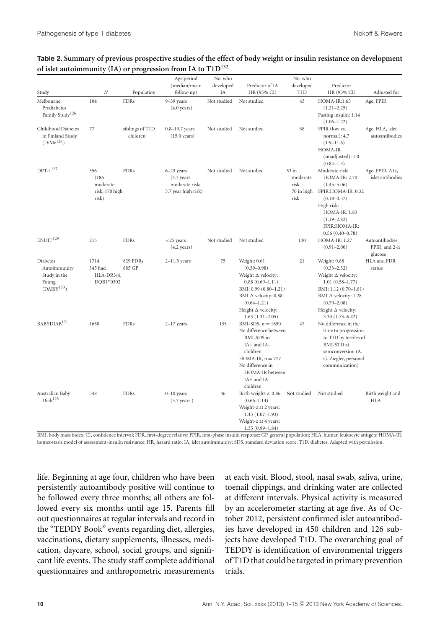#### **Table 2. Summary of previous prospective studies of the effect of body weight or insulin resistance on development of islet autoimmunity (IA) or progression from IA to T1D<sup>132</sup>**

|                                                                              |                                                     |                             | Age period                                                                       | No. who     |                                                                                                                                                                                                                  | No. who                                         |                                                                                                                                                                                                                    |                                            |
|------------------------------------------------------------------------------|-----------------------------------------------------|-----------------------------|----------------------------------------------------------------------------------|-------------|------------------------------------------------------------------------------------------------------------------------------------------------------------------------------------------------------------------|-------------------------------------------------|--------------------------------------------------------------------------------------------------------------------------------------------------------------------------------------------------------------------|--------------------------------------------|
|                                                                              |                                                     |                             | (median/mean                                                                     | developed   | Predictor of IA                                                                                                                                                                                                  | developed                                       | Predictor                                                                                                                                                                                                          |                                            |
| Study                                                                        | N                                                   | Population                  | follow-up)                                                                       | ΙA          | HR (95% CI)                                                                                                                                                                                                      | <b>T1D</b>                                      | HR (95% CI)                                                                                                                                                                                                        | Adjusted for                               |
| Melbourne<br>Prediabetes<br>Family Study $^{126}\,$                          | 104                                                 | <b>FDRs</b>                 | 9-39 years<br>$(4.0 \text{ years})$                                              | Not studied | Not studied                                                                                                                                                                                                      | 43                                              | HOMA-IR:1.65<br>$(1.21 - 2.25)$<br>Fasting insulin: 1.14<br>$(1.06 - 1.22)$                                                                                                                                        | Age, FPIR                                  |
| Childhood Diabetes<br>in Finland Study<br>(DiMe <sup>128</sup> )             | 77                                                  | siblings of T1D<br>children | $0.8 - 19.7$ years<br>$(15.0 \text{ years})$                                     | Not studied | Not studied                                                                                                                                                                                                      | 38                                              | FPIR (low vs.<br>normal): 4.7<br>$(1.9 - 11.6)$<br>HOMA-IR<br>(unadjusted): 1.0<br>$(0.84 - 1.3)$                                                                                                                  | Age, HLA, islet<br>autoantibodies          |
| $DPT-1^{127}$                                                                | 356<br>(186)<br>moderate<br>risk, 170 high<br>risk) | <b>FDRs</b>                 | $6 - 23$ years<br>$(4.3 \text{ years})$<br>moderate risk;<br>3.7 year high risk) | Not studied | Not studied                                                                                                                                                                                                      | 53 in<br>moderate<br>risk<br>70 in high<br>risk | Moderate risk:<br><b>HOMA-IR: 2.70</b><br>$(1.45 - 5.06)$<br>FPIR:HOMA-IR: 0.32<br>$(0.18 - 0.57)$<br>High risk:<br>HOMA-IR: 1.83<br>$(1.19 - 2.82)$<br>FPIR:HOMA-IR:<br>$0.56(0.40 - 0.78)$                       | Age, FPIR, A1c,<br>islet antibodies        |
| ENDIT <sup>129</sup>                                                         | 213                                                 | <b>FDRs</b>                 | $<$ 25 years<br>$(4.2 \text{ years})$                                            | Not studied | Not studied                                                                                                                                                                                                      | 130                                             | <b>HOMA-IR: 1.27</b><br>$(0.91 - 2.00)$                                                                                                                                                                            | Autoantibodies<br>FPIR, and 2-h<br>glucose |
| Diabetes<br>Autoimmunity<br>Study in the<br>Young<br>(DAISY <sup>130</sup> ) | 1714<br>345 had<br>HLA-DR3/4,<br>DQB1*0302          | 829 FDRs<br>885 GP          | $2 - 11.5$ years                                                                 | 75          | Weight: 0.61<br>$(0.39 - 0.98)$<br>Weight $\Delta$ velocity:<br>$0.88(0.69 - 1.11)$<br>BMI: 0.99 (0.80-1.21)<br>BMI $\Delta$ velocity: 0.88<br>$(0.64 - 1.21)$<br>Height $\Delta$ velocity:<br>$1.63(1.31-2.05)$ | 21                                              | Weight: 0.88<br>$(0.33 - 2.32)$<br>Weight $\Delta$ velocity:<br>$1.01(0.58 - 1.77)$<br>BMI: 1.12 (0.70-1.81)<br>BMI $\Delta$ velocity: 1.28<br>$(0.79 - 2.08)$<br>Height $\Delta$ velocity:<br>$3.34(1.73 - 6.42)$ | HLA and FDR<br>status                      |
| BABYDIAB <sup>131</sup>                                                      | 1650                                                | <b>FDRs</b>                 | $2-17$ years                                                                     | 135         | BMI-SDS, $n = 1650$<br>No difference between<br><b>BMI-SDS</b> in<br>IA+ and IA-<br>children<br>HOMA-IR, $n = 777$<br>No difference in<br>HOMA-IR between<br>IA+ and IA-<br>children                             | 47                                              | No difference in the<br>time to progression<br>to T1D by tertiles of<br>BMI-STD at<br>seroconversion (A.<br>G. Ziegler, personal<br>communication)                                                                 |                                            |
| Australian Baby<br>Diab <sup>125</sup>                                       | 548                                                 | <b>FDRs</b>                 | $0 - 10$ years<br>$(5.7 \text{ years})$                                          | 46          | Birth weight-z: 0.86<br>$(0.66 - 1.14)$<br>Weight-z at 2 years:<br>$1.43(1.07-1.93)$<br>Weight-z at 4 years:<br>$1.35(0.99 - 1.84)$                                                                              | Not studied                                     | Not studied                                                                                                                                                                                                        | Birth weight and<br><b>HLA</b>             |

BMI, body mass index; CI, confidence interval; FDR, first-degree relative; FPIR, first-phase insulin response; GP, general population; HLA, human leukocyte antigen; HOMA-IR, homeostasis model of assessment-insulin resistance; HR, hazard ratio; IA, islet autoimmunity; SDS, standard deviation score; T1D, diabetes. Adapted with permission.

life. Beginning at age four, children who have been persistently autoantibody positive will continue to be followed every three months; all others are followed every six months until age 15. Parents fill out questionnaires at regular intervals and record in the "TEDDY Book" events regarding diet, allergies, vaccinations, dietary supplements, illnesses, medication, daycare, school, social groups, and significant life events. The study staff complete additional questionnaires and anthropometric measurements at each visit. Blood, stool, nasal swab, saliva, urine, toenail clippings, and drinking water are collected at different intervals. Physical activity is measured by an accelerometer starting at age five. As of October 2012, persistent confirmed islet autoantibodies have developed in 450 children and 126 subjects have developed T1D. The overarching goal of TEDDY is identification of environmental triggers of T1D that could be targeted in primary prevention trials.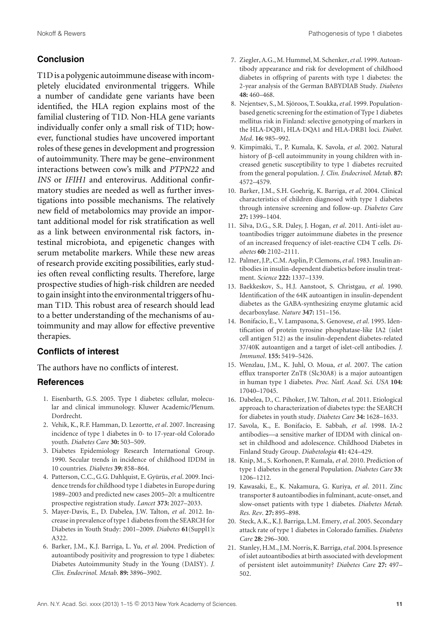## **Conclusion**

T1D is a polygenic autoimmune disease with incompletely elucidated environmental triggers. While a number of candidate gene variants have been identified, the HLA region explains most of the familial clustering of T1D. Non-HLA gene variants individually confer only a small risk of T1D; however, functional studies have uncovered important roles of these genes in development and progression of autoimmunity. There may be gene–environment interactions between cow's milk and *PTPN22* and *INS* or *IFIH1* and enterovirus. Additional confirmatory studies are needed as well as further investigations into possible mechanisms. The relatively new field of metabolomics may provide an important additional model for risk stratification as well as a link between environmental risk factors, intestinal microbiota, and epigenetic changes with serum metabolite markers. While these new areas of research provide exciting possibilities, early studies often reveal conflicting results. Therefore, large prospective studies of high-risk children are needed to gain insight into the environmental triggers of human T1D. This robust area of research should lead to a better understanding of the mechanisms of autoimmunity and may allow for effective preventive therapies.

## **Conflicts of interest**

The authors have no conflicts of interest.

#### **References**

- 1. Eisenbarth, G.S. 2005. Type 1 diabetes: cellular, molecular and clinical immunology. Kluwer Academic/Plenum. Dordrecht.
- 2. Vehik, K., R.F. Hamman, D. Lezortte, *et al*. 2007. Increasing incidence of type 1 diabetes in 0- to 17-year-old Colorado youth. *Diabetes Care* **30:** 503–509.
- 3. Diabetes Epidemiology Research International Group. 1990. Secular trends in incidence of childhood IDDM in 10 countries. *Diabetes* **39:** 858–864.
- 4. Patterson, C.C., G.G. Dahlquist, E. Gyürüs, et al. 2009. Incidence trends for childhood type 1 diabetes in Europe during 1989–2003 and predicted new cases 2005–20: a multicentre prospective registration study. *Lancet* **373:** 2027–2033.
- 5. Mayer-Davis, E., D. Dabelea, J.W. Talton, *et al*. 2012. Increase in prevalence of type 1 diabetes from the SEARCH for Diabetes in Youth Study: 2001–2009. *Diabetes* **61**(Suppl1)**:** A322.
- 6. Barker, J.M., K.J. Barriga, L. Yu, *et al*. 2004. Prediction of autoantibody positivity and progression to type 1 diabetes: Diabetes Autoimmunity Study in the Young (DAISY). *J. Clin. Endocrinol. Metab*. **89:** 3896–3902.
- 7. Ziegler, A.G.,M. Hummel,M. Schenker,*et al*. 1999. Autoantibody appearance and risk for development of childhood diabetes in offspring of parents with type 1 diabetes: the 2-year analysis of the German BABYDIAB Study. *Diabetes* **48:** 460–468.
- 8. Nejentsev, S., M. Sjöroos, T. Soukka, et al. 1999. Populationbased genetic screening for the estimation of Type 1 diabetes mellitus risk in Finland: selective genotyping of markers in the HLA-DQB1, HLA-DQA1 and HLA-DRB1 loci. *Diabet. Med*. **16:** 985–992.
- 9. Kimpimäki, T., P. Kumala, K. Savola, et al. 2002. Natural history of  $\beta$ -cell autoimmunity in young children with increased genetic susceptibility to type 1 diabetes recruited from the general population. *J. Clin. Endocrinol. Metab*. **87:** 4572–4579.
- 10. Barker, J.M., S.H. Goehrig, K. Barriga, *et al*. 2004. Clinical characteristics of children diagnosed with type 1 diabetes through intensive screening and follow-up. *Diabetes Care* **27:** 1399–1404.
- 11. Silva, D.G., S.R. Daley, J. Hogan, *et al*. 2011. Anti-islet autoantibodies trigger autoimmune diabetes in the presence of an increased frequency of islet-reactive CD4 T cells. *Diabetes* **60:** 2102–2111.
- 12. Palmer, J.P., C.M. Asplin, P. Clemons,*et al*. 1983. Insulin antibodies in insulin-dependent diabetics before insulin treatment. *Science* **222:** 1337–1339.
- 13. Baekkeskov, S., H.J. Aanstoot, S. Christgau, *et al*. 1990. Identification of the 64K autoantigen in insulin-dependent diabetes as the GABA-synthesizing enzyme glutamic acid decarboxylase. *Nature* **347:** 151–156.
- 14. Bonifacio, E., V. Lampasona, S. Genovese, *et al*. 1995. Identification of protein tyrosine phosphatase-like IA2 (islet cell antigen 512) as the insulin-dependent diabetes-related 37/40K autoantigen and a target of islet-cell antibodies. *J. Immunol*. **155:** 5419–5426.
- 15. Wenzlau, J.M., K. Juhl, O. Moua, *et al*. 2007. The cation efflux transporter ZnT8 (Slc30A8) is a major autoantigen in human type 1 diabetes. *Proc. Natl. Acad. Sci. USA* **104:** 17040–17045.
- 16. Dabelea, D., C. Pihoker, J.W. Talton, *et al*. 2011. Etiological approach to characterization of diabetes type: the SEARCH for diabetes in youth study. *Diabetes Care* **34:** 1628–1633.
- 17. Savola, K., E. Bonifacio, E. Sabbah, *et al*. 1998. IA-2 antibodies—a sensitive marker of IDDM with clinical onset in childhood and adolescence. Childhood Diabetes in Finland Study Group. *Diabetologia* **41:** 424–429.
- 18. Knip, M., S. Korhonen, P. Kumala, *et al*. 2010. Prediction of type 1 diabetes in the general Population. *Diabetes Care* **33:** 1206–1212.
- 19. Kawasaki, E., K. Nakamura, G. Kuriya, *et al*. 2011. Zinc transporter 8 autoantibodies in fulminant, acute-onset, and slow-onset patients with type 1 diabetes. *Diabetes Metab. Res. Rev*. **27:** 895–898.
- 20. Steck, A.K., K.J. Barriga, L.M. Emery,*et al*. 2005. Secondary attack rate of type 1 diabetes in Colorado families. *Diabetes Care* **28:** 296–300.
- 21. Stanley, H.M., J.M. Norris, K. Barriga,*et al*. 2004. Is presence of islet autoantibodies at birth associated with development of persistent islet autoimmunity? *Diabetes Care* **27:** 497– 502.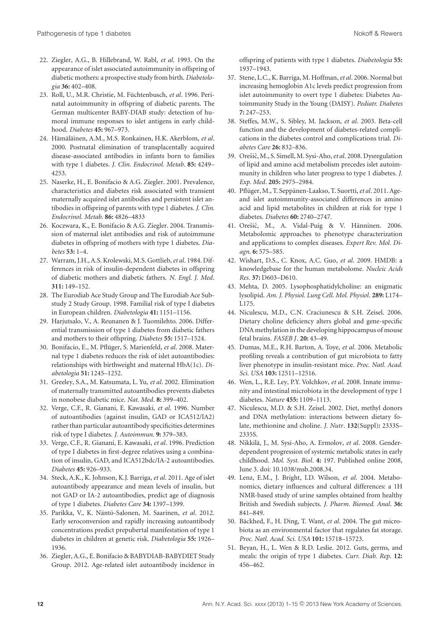- 22. Ziegler, A.G., B. Hillebrand, W. Rabl, *et al*. 1993. On the appearance of islet associated autoimmunity in offspring of diabetic mothers: a prospective study from birth. *Diabetologia* **36:** 402–408.
- 23. Roll, U., M.R. Christie, M. Füchtenbusch, et al. 1996. Perinatal autoimmunity in offspring of diabetic parents. The German multicenter BABY-DIAB study: detection of humoral immune responses to islet antigens in early childhood. *Diabetes* **45:** 967–973.
- 24. Hämäläinen, A.M., M.S. Ronkainen, H.K. Akerblom, et al. 2000. Postnatal elimination of transplacentally acquired disease-associated antibodies in infants born to families with type 1 diabetes. *J. Clin. Endocrinol. Metab*. **85:** 4249– 4253.
- 25. Naserke, H., E. Bonifacio & A.G. Ziegler. 2001. Prevalence, characteristics and diabetes risk associated with transient maternally acquired islet antibodies and persistent islet antibodies in offspring of parents with type 1 diabetes. *J. Clin. Endocrinol. Metab*. **86:** 4826–4833
- 26. Koczwara, K., E. Bonifacio & A.G. Ziegler. 2004. Transmission of maternal islet antibodies and risk of autoimmune diabetes in offspring of mothers with type 1 diabetes. *Diabetes* **53:** 1–4.
- 27. Warram, J.H., A.S. Krolewski, M.S. Gottlieb,*et al*. 1984. Differences in risk of insulin-dependent diabetes in offspring of diabetic mothers and diabetic fathers. *N. Engl. J. Med*. **311:** 149–152.
- 28. The Eurodiab Ace Study Group and The Eurodiab Ace Substudy 2 Study Group. 1998. Familial risk of type I diabetes in European children. *Diabetologia* **41:** 1151–1156.
- 29. Harjutsalo, V., A. Reunanen & J. Tuomilehto. 2006. Differential transmission of type 1 diabetes from diabetic fathers and mothers to their offspring. *Diabetes* **55:** 1517–1524.
- 30. Bonifacio, E., M. Pflüger, S. Marienfeld, et al. 2008. Maternal type 1 diabetes reduces the risk of islet autoantibodies: relationships with birthweight and maternal HbA(1c). *Diabetologia* **51:** 1245–1252.
- 31. Greeley, S.A., M. Katsumata, L. Yu, *et al*. 2002. Elimination of maternally transmitted autoantibodies prevents diabetes in nonobese diabetic mice. *Nat. Med*. **8:** 399–402.
- 32. Verge, C.F., R. Gianani, E. Kawasaki, *et al*. 1996. Number of autoantibodies (against insulin, GAD or ICA512/IA2) rather than particular autoantibody specificities determines risk of type I diabetes. *J. Autoimmun*. **9:** 379–383.
- 33. Verge, C.F., R. Gianani, E. Kawasaki, *et al*. 1996. Prediction of type I diabetes in first-degree relatives using a combination of insulin, GAD, and ICA512bdc/IA-2 autoantibodies. *Diabetes* **45:** 926–933.
- 34. Steck, A.K., K. Johnson, K.J. Barriga, *et al*. 2011. Age of islet autoantibody appearance and mean levels of insulin, but not GAD or IA-2 autoantibodies, predict age of diagnosis of type 1 diabetes. *Diabetes Care* **34:** 1397–1399.
- 35. Parikka, V., K. Näntö-Salonen, M. Saarinen, et al. 2012. Early seroconversion and rapidly increasing autoantibody concentrations predict prepubertal manifestation of type 1 diabetes in children at genetic risk. *Diabetologia* **55:** 1926– 1936.
- 36. Ziegler, A.G., E. Bonifacio & BABYDIAB-BABYDIET Study Group. 2012. Age-related islet autoantibody incidence in

offspring of patients with type 1 diabetes. *Diabetologia* **55:** 1937–1943.

- 37. Stene, L.C., K. Barriga, M. Hoffman,*et al*. 2006. Normal but increasing hemoglobin A1c levels predict progression from islet autoimmunity to overt type 1 diabetes: Diabetes Autoimmunity Study in the Young (DAISY). *Pediatr. Diabetes* **7:** 247–253.
- 38. Steffes, M.W., S. Sibley, M. Jackson, *et al*. 2003. Beta-cell function and the development of diabetes-related complications in the diabetes control and complications trial. *Diabetes Care* **26:** 832–836.
- 39. Orešič, M., S. Simell, M. Sysi-Aho, et al. 2008. Dysregulation of lipid and amino acid metabolism precedes islet autoimmunity in children who later progress to type 1 diabetes. *J. Exp. Med*. **205:** 2975–2984.
- 40. Pflüger, M., T. Seppänen-Laakso, T. Suortti, et al. 2011. Ageand islet autoimmunity-associated differences in amino acid and lipid metabolites in children at risk for type 1 diabetes. *Diabetes* **60:** 2740–2747.
- 41. Orešič, M., A. Vidal-Puig & V. Hänninen. 2006. Metabolomic approaches to phenotype characterization and applications to complex diseases. *Expert Rev. Mol. Diagn*. **6:** 575–585.
- 42. Wishart, D.S., C. Knox, A.C. Guo, *et al*. 2009. HMDB: a knowledgebase for the human metabolome. *Nucleic Acids Res*. **37:** D603–D610.
- 43. Mehta, D. 2005. Lysophosphatidylcholine: an enigmatic lysolipid. *Am. J. Physiol. Lung Cell. Mol. Physiol*. **289:** L174– L175.
- 44. Niculescu, M.D., C.N. Craciunescu & S.H. Zeisel. 2006. Dietary choline deficiency alters global and gene-specific DNA methylation in the developing hippocampus of mouse fetal brains. *FASEB J*. **20:** 43–49.
- 45. Dumas, M.E., R.H. Barton, A. Toye, *et al*. 2006. Metabolic profiling reveals a contribution of gut microbiota to fatty liver phenotype in insulin-resistant mice. *Proc. Natl. Acad. Sci. USA* **103:** 12511–12516.
- 46. Wen, L., R.E. Ley, P.Y. Volchkov, *et al*. 2008. Innate immunity and intestinal microbiota in the development of type 1 diabetes. *Nature* **455:** 1109–1113.
- 47. Niculescu, M.D. & S.H. Zeisel. 2002. Diet, methyl donors and DNA methylation: interactions between dietary folate, methionine and choline. *J. Nutr*. **132**(Suppl)**:** 2333S– 2335S.
- 48. Nikkilä, J., M. Sysi-Aho, A. Ermolov, et al. 2008. Genderdependent progression of systemic metabolic states in early childhood. *Mol. Syst. Biol*. **4:** 197. Published online 2008, June 3. doi: 10.1038/msb.2008.34.
- 49. Lenz, E.M., J. Bright, I.D. Wilson, *et al*. 2004. Metabonomics, dietary influences and cultural differences: a 1H NMR-based study of urine samples obtained from healthy British and Swedish subjects. *J. Pharm. Biomed. Anal*. **36:** 841–849.
- 50. Bäckhed, F., H. Ding, T. Want, et al. 2004. The gut microbiota as an environmental factor that regulates fat storage. *Proc. Natl. Acad. Sci. USA* **101:** 15718–15723.
- 51. Beyan, H., L. Wen & R.D. Leslie. 2012. Guts, germs, and meals: the origin of type 1 diabetes. *Curr. Diab. Rep*. **12:** 456–462.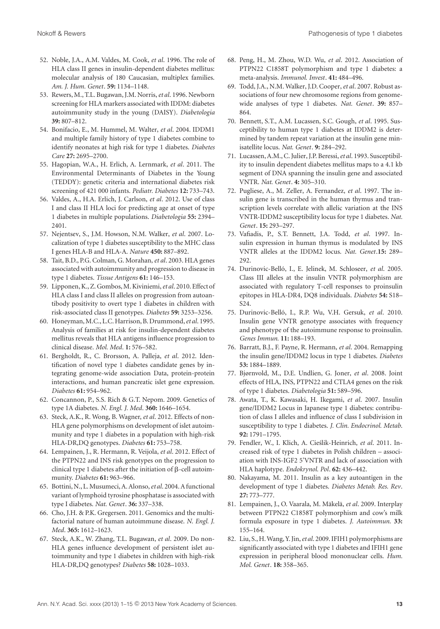- 52. Noble, J.A., A.M. Valdes, M. Cook, *et al*. 1996. The role of HLA class II genes in insulin-dependent diabetes mellitus: molecular analysis of 180 Caucasian, multiplex families. *Am. J. Hum. Genet*. **59:** 1134–1148.
- 53. Rewers, M., T.L. Bugawan, J.M. Norris,*et al*. 1996. Newborn screening for HLA markers associated with IDDM: diabetes autoimmunity study in the young (DAISY). *Diabetologia* **39:** 807–812.
- 54. Bonifacio, E., M. Hummel, M. Walter, *et al*. 2004. IDDM1 and multiple family history of type 1 diabetes combine to identify neonates at high risk for type 1 diabetes. *Diabetes Care* **27:** 2695–2700.
- 55. Hagopian, W.A., H. Erlich, A. Lernmark, *et al*. 2011. The Environmental Determinants of Diabetes in the Young (TEDDY): genetic criteria and international diabetes risk screening of 421 000 infants. *Pediatr. Diabetes* **12:** 733–743.
- 56. Valdes, A., H.A. Erlich, J. Carlson, *et al*. 2012. Use of class I and class II HLA loci for predicting age at onset of type 1 diabetes in multiple populations. *Diabetologia* **55:** 2394– 2401.
- 57. Nejentsev, S., J.M. Howson, N.M. Walker, *et al*. 2007. Localization of type 1 diabetes susceptibility to the MHC class I genes HLA-B and HLA-A. *Nature* **450:** 887–892.
- 58. Tait, B.D., P.G. Colman, G. Morahan,*et al*. 2003. HLA genes associated with autoimmunity and progression to disease in type 1 diabetes. *Tissue Antigens* **61:** 146–153.
- 59. Lipponen, K., Z. Gombos,M. Kiviniemi,*et al*. 2010. Effect of HLA class I and class II alleles on progression from autoantibody positivity to overt type 1 diabetes in children with risk-associated class II genotypes. *Diabetes* **59:** 3253–3256.
- 60. Honeyman,M.C., L.C. Harrison, B. Drummond,*et al*. 1995. Analysis of families at risk for insulin-dependent diabetes mellitus reveals that HLA antigens influence progression to clinical disease. *Mol. Med*. **1:** 576–582.
- 61. Bergholdt, R., C. Brorsson, A. Palleja, *et al*. 2012. Identification of novel type 1 diabetes candidate genes by integrating genome-wide association Data, protein-protein interactions, and human pancreatic islet gene expression. *Diabetes* **61:** 954–962.
- 62. Concannon, P., S.S. Rich & G.T. Nepom. 2009. Genetics of type 1A diabetes. *N. Engl. J. Med*. **360:** 1646–1654.
- 63. Steck, A.K., R. Wong, B. Wagner, *et al*. 2012. Effects of non-HLA gene polymorphisms on development of islet autoimmunity and type 1 diabetes in a population with high-risk HLA-DR,DQ genotypes. *Diabetes* **61:** 753–758.
- 64. Lempainen, J., R. Hermann, R. Veijola, *et al*. 2012. Effect of the PTPN22 and INS risk genotypes on the progression to clinical type 1 diabetes after the initiation of  $\beta$ -cell autoimmunity. *Diabetes* **61:** 963–966.
- 65. Bottini, N., L.Musumeci, A. Alonso,*et al*. 2004. Afunctional variant of lymphoid tyrosine phosphatase is associated with type I diabetes. *Nat. Genet*. **36:** 337–338.
- 66. Cho, J.H. & P.K. Gregersen. 2011. Genomics and the multifactorial nature of human autoimmune disease. *N. Engl. J. Med*. **365:** 1612–1623.
- 67. Steck, A.K., W. Zhang, T.L. Bugawan, *et al*. 2009. Do non-HLA genes influence development of persistent islet autoimmunity and type 1 diabetes in children with high-risk HLA-DR,DQ genotypes? *Diabetes* **58:** 1028–1033.
- 68. Peng, H., M. Zhou, W.D. Wu, *et al*. 2012. Association of PTPN22 C1858T polymorphism and type 1 diabetes: a meta-analysis. *Immunol. Invest*. **41:** 484–496.
- 69. Todd, J.A., N.M. Walker, J.D. Cooper,*et al*. 2007. Robust associations of four new chromosome regions from genomewide analyses of type 1 diabetes. *Nat. Genet*. **39:** 857– 864.
- 70. Bennett, S.T., A.M. Lucassen, S.C. Gough, *et al*. 1995. Susceptibility to human type 1 diabetes at IDDM2 is determined by tandem repeat variation at the insulin gene minisatellite locus. *Nat. Genet*. **9:** 284–292.
- 71. Lucassen, A.M., C. Julier, J.P. Beressi,*et al*. 1993. Susceptibility to insulin dependent diabetes mellitus maps to a 4.1 kb segment of DNA spanning the insulin gene and associated VNTR. *Nat. Genet*. **4:** 305–310.
- 72. Pugliese, A., M. Zeller, A. Fernandez, *et al*. 1997. The insulin gene is transcribed in the human thymus and transcription levels correlate with allelic variation at the INS VNTR-IDDM2 susceptibility locus for type 1 diabetes. *Nat. Genet*. **15:** 293–297.
- 73. Vafiadis, P., S.T. Bennett, J.A. Todd, *et al*. 1997. Insulin expression in human thymus is modulated by INS VNTR alleles at the IDDM2 locus. *Nat. Genet*.**15:** 289– 292.
- 74. Durinovic-Belló, I., E. Jelinek, M. Schloseer, et al. 2005. Class III alleles at the insulin VNTR polymorphism are associated with regulatory T-cell responses to proinsulin epitopes in HLA-DR4, DQ8 individuals. *Diabetes* **54:** S18– S24.
- 75. Durinovic-Belló, I., R.P. Wu, V.H. Gersuk, et al. 2010. Insulin gene VNTR genotype associates with frequency and phenotype of the autoimmune response to proinsulin. *Genes Immun.* **11:** 188–193.
- 76. Barratt, B.J., F. Payne, R. Hermann, *et al*. 2004. Remapping the insulin gene/IDDM2 locus in type 1 diabetes. *Diabetes* **53:** 1884–1889.
- 77. Bjørnvold, M., D.E. Undlien, G. Joner, *et al*. 2008. Joint effects of HLA, INS, PTPN22 and CTLA4 genes on the risk of type 1 diabetes. *Diabetologia* **51:** 589–596.
- 78. Awata, T., K. Kawasaki, H. Ikegami, *et al*. 2007. Insulin gene/IDDM2 Locus in Japanese type 1 diabetes: contribution of class I alleles and influence of class I subdivision in susceptibility to type 1 diabetes. *J. Clin. Endocrinol. Metab*. **92:** 1791–1795.
- 79. Fendler, W., I. Klich, A. Cieślik-Heinrich, et al. 2011. Increased risk of type 1 diabetes in Polish children – association with INS-IGF2 5'VNTR and lack of association with HLA haplotype. *Endokrynol. Pol*. **62:** 436–442.
- 80. Nakayama, M. 2011. Insulin as a key autoantigen in the development of type 1 diabetes. *Diabetes Metab. Res. Rev*. **27:** 773–777.
- 81. Lempainen, J., O. Vaarala, M. Mäkelä, et al. 2009. Interplay between PTPN22 C1858T polymorphism and cow's milk formula exposure in type 1 diabetes. *J. Autoimmun*. **33:** 155–164.
- 82. Liu, S., H.Wang, Y. Jin,*et al*. 2009. IFIH1 polymorphisms are significantly associated with type 1 diabetes and IFIH1 gene expression in peripheral blood mononuclear cells. *Hum. Mol. Genet*. **18:** 358–365.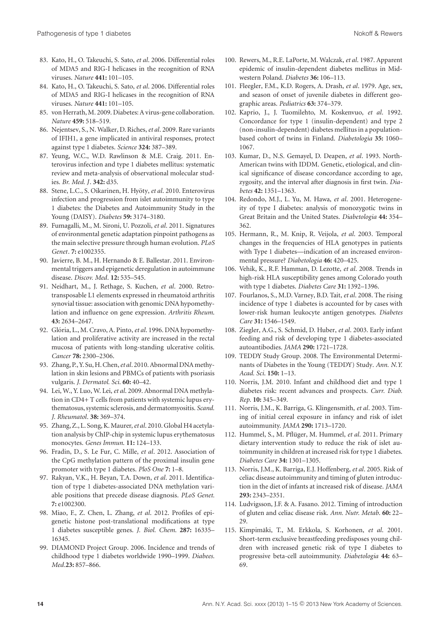- 83. Kato, H., O. Takeuchi, S. Sato, *et al*. 2006. Differential roles of MDA5 and RIG-I helicases in the recognition of RNA viruses. *Nature* **441:** 101–105.
- 84. Kato, H., O. Takeuchi, S. Sato, *et al*. 2006. Differential roles of MDA5 and RIG-I helicases in the recognition of RNA viruses. *Nature* **441:** 101–105.
- 85. von Herrath, M. 2009. Diabetes: A virus-gene collaboration. *Nature* **459:** 518–519.
- 86. Nejentsev, S., N. Walker, D. Riches,*et al*. 2009. Rare variants of IFIH1, a gene implicated in antiviral responses, protect against type 1 diabetes. *Science* **324:** 387–389.
- 87. Yeung, W.C., W.D. Rawlinson & M.E. Craig. 2011. Enterovirus infection and type 1 diabetes mellitus: systematic review and meta-analysis of observational molecular studies. *Br. Med. J*. **342:** d35.
- 88. Stene, L.C., S. Oikarinen, H. Hyöty, et al. 2010. Enterovirus infection and progression from islet autoimmunity to type 1 diabetes: the Diabetes and Autoimmunity Study in the Young (DAISY). *Diabetes* **59:** 3174–3180.
- 89. Fumagalli, M., M. Sironi, U. Pozzoli, *et al*. 2011. Signatures of environmental genetic adaptation pinpoint pathogens as the main selective pressure through human evolution. *PLoS Genet*. **7:** e1002355.
- 90. Javierre, B. M., H. Hernando & E. Ballestar. 2011. Environmental triggers and epigenetic deregulation in autoimmune disease. *Discov. Med*. **12:** 535–545.
- 91. Neidhart, M., J. Rethage, S. Kuchen, *et al*. 2000. Retrotransposable L1 elements expressed in rheumatoid arthritis synovial tissue: association with genomic DNA hypomethylation and influence on gene expression. *Arthritis Rheum*. **43:** 2634–2647.
- 92. Glória, L., M. Cravo, A. Pinto, et al. 1996. DNA hypomethylation and proliferative activity are increased in the rectal mucosa of patients with long-standing ulcerative colitis. *Cancer* **78:** 2300–2306.
- 93. Zhang, P., Y. Su, H. Chen,*et al*. 2010. Abnormal DNAmethylation in skin lesions and PBMCs of patients with psoriasis vulgaris. *J. Dermatol. Sci*. **60:** 40–42.
- 94. Lei, W., Y. Luo, W. Lei,*et al*. 2009. Abnormal DNA methylation in CD4+ T cells from patients with systemic lupus erythematosus, systemic sclerosis, and dermatomyositis. *Scand. J. Rheumatol*. **38:** 369–374.
- 95. Zhang, Z., L. Song, K.Maurer,*et al*. 2010. Global H4 acetylation analysis by ChIP-chip in systemic lupus erythematosus monocytes. *Genes Immun*. **11:** 124–133.
- 96. Fradin, D., S. Le Fur, C. Mille, *et al*. 2012. Association of the CpG methylation pattern of the proximal insulin gene promoter with type 1 diabetes. *PloS One* **7:** 1–8.
- 97. Rakyan, V.K., H. Beyan, T.A. Down, *et al*. 2011. Identification of type 1 diabetes-associated DNA methylation variable positions that precede disease diagnosis. *PLoS Genet.* **7:** e1002300.
- 98. Miao, F., Z. Chen, L. Zhang, *et al*. 2012. Profiles of epigenetic histone post-translational modifications at type 1 diabetes susceptible genes. *J. Biol. Chem*. **287:** 16335– 16345.
- 99. DIAMOND Project Group. 2006. Incidence and trends of childhood type 1 diabetes worldwide 1990–1999. *Diabees. Med*.**23:** 857–866.
- 100. Rewers, M., R.E. LaPorte, M. Walczak,*et al*. 1987. Apparent epidemic of insulin-dependent diabetes mellitus in Midwestern Poland. *Diabetes* **36:** 106–113.
- 101. Fleegler, F.M., K.D. Rogers, A. Drash, *et al*. 1979. Age, sex, and season of onset of juvenile diabetes in different geographic areas. *Pediatrics* **63:** 374–379.
- 102. Kaprio, J., J. Tuomilehto, M. Koskenvuo, *et al*. 1992. Concordance for type 1 (insulin-dependent) and type 2 (non-insulin-dependent) diabetes mellitus in a populationbased cohort of twins in Finland. *Diabetologia* **35:** 1060– 1067.
- 103. Kumar, D., N.S. Gemayel, D. Deapen, *et al*. 1993. North-American twins with IDDM. Genetic, etiological, and clinical significance of disease concordance according to age, zygosity, and the interval after diagnosis in first twin. *Diabetes* **42:** 1351–1363.
- 104. Redondo, M.J., L. Yu, M. Hawa, *et al*. 2001. Heterogeneity of type I diabetes: analysis of monozygotic twins in Great Britain and the United States. *Diabetologia* **44:** 354– 362.
- 105. Hermann, R., M. Knip, R. Veijola, *et al*. 2003. Temporal changes in the frequencies of HLA genotypes in patients with Type 1 diabetes—indication of an increased environmental pressure? *Diabetologia* **46:** 420–425.
- 106. Vehik, K., R.F. Hamman, D. Lezotte, *et al*. 2008. Trends in high-risk HLA susceptibility genes among Colorado youth with type 1 diabetes. *Diabetes Care* **31:** 1392–1396.
- 107. Fourlanos, S., M.D. Varney, B.D. Tait, *et al*. 2008. The rising incidence of type 1 diabetes is accounted for by cases with lower-risk human leukocyte antigen genotypes. *Diabetes Care* **31:** 1546–1549.
- 108. Ziegler, A.G., S. Schmid, D. Huber, *et al*. 2003. Early infant feeding and risk of developing type 1 diabetes-associated autoantibodies. *JAMA* **290:** 1721–1728.
- 109. TEDDY Study Group. 2008. The Environmental Determinants of Diabetes in the Young (TEDDY) Study. *Ann. N.Y. Acad. Sci*. **150:** 1–13.
- 110. Norris, J.M. 2010. Infant and childhood diet and type 1 diabetes risk: recent advances and prospects. *Curr. Diab. Rep*. **10:** 345–349.
- 111. Norris, J.M., K. Barriga, G. Klingensmith, *et al*. 2003. Timing of initial cereal exposure in infancy and risk of islet autoimmunity. *JAMA* **290:** 1713–1720.
- 112. Hummel, S., M. Pflüger, M. Hummel, et al. 2011. Primary dietary intervention study to reduce the risk of islet autoimmunity in children at increased risk for type 1 diabetes. *Diabetes Care* **34:** 1301–1305.
- 113. Norris, J.M., K. Barriga, E.J. Hoffenberg, *et al*. 2005. Risk of celiac disease autoimmunity and timing of gluten introduction in the diet of infants at increased risk of disease. *JAMA* **293:** 2343–2351.
- 114. Ludvigsson, J.F. & A. Fasano. 2012. Timing of introduction of gluten and celiac disease risk. *Ann. Nutr. Metab*. **60:** 22– 29.
- 115. Kimpimäki, T., M. Erkkola, S. Korhonen, et al. 2001. Short-term exclusive breastfeeding predisposes young children with increased genetic risk of type I diabetes to progressive beta-cell autoimmunity. *Diabetologia* **44:** 63– 69.